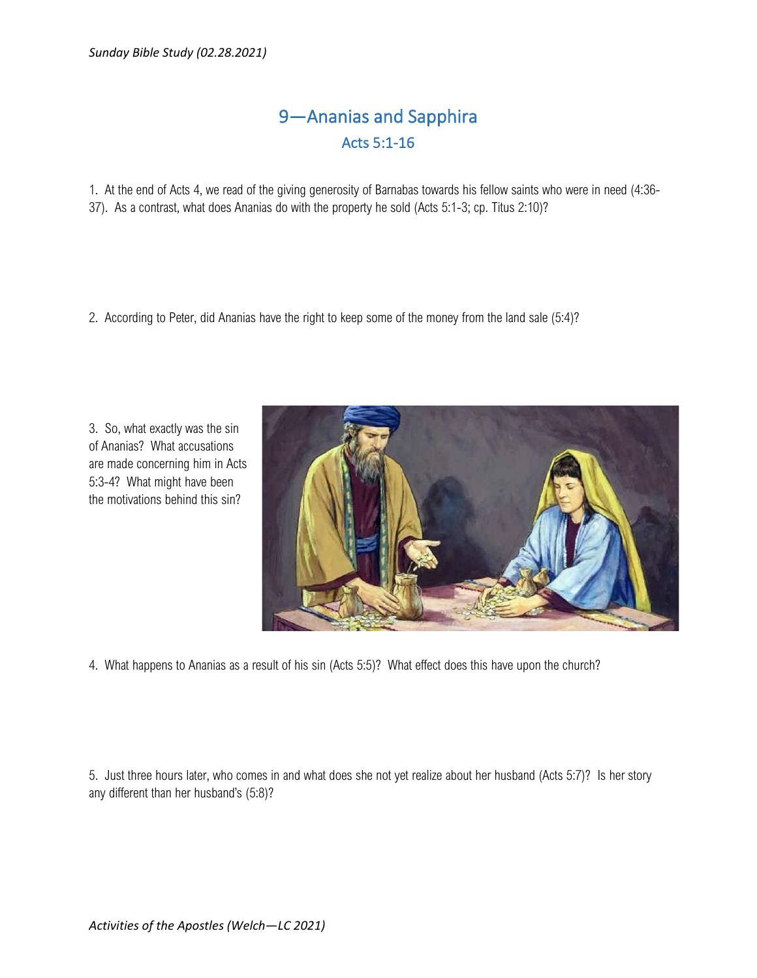## 9—Ananias and Sapphira Acts 5:1-16

1. At the end of Acts 4, we read of the giving generosity of Barnabas towards his fellow saints who were in need (4:36- 37). As a contrast, what does Ananias do with the property he sold (Acts 5:1-3; cp. Titus 2:10)?

2. According to Peter, did Ananias have the right to keep some of the money from the land sale (5:4)?

3. So, what exactly was the sin of Ananias? What accusations are made concerning him in Acts 5:3-4? What might have been the motivations behind this sin?



4. What happens to Ananias as a result of his sin (Acts 5:5)? What effect does this have upon the church?

5. Just three hours later, who comes in and what does she not yet realize about her husband (Acts 5:7)? Is her story any different than her husband's (5:8)?